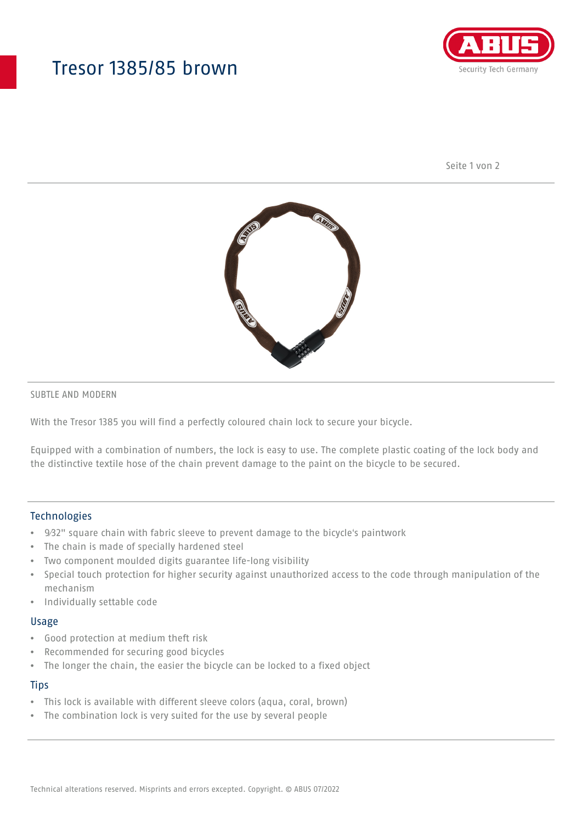## Tresor 1385/85 brown



Seite 1 von 2



### SUBTLE AND MODERN

With the Tresor 1385 you will find a perfectly coloured chain lock to secure your bicycle.

Equipped with a combination of numbers, the lock is easy to use. The complete plastic coating of the lock body and the distinctive textile hose of the chain prevent damage to the paint on the bicycle to be secured.

## Technologies

- 9⁄32" square chain with fabric sleeve to prevent damage to the bicycle's paintwork
- The chain is made of specially hardened steel
- Two component moulded digits guarantee life-long visibility
- Special touch protection for higher security against unauthorized access to the code through manipulation of the mechanism
- Individually settable code

#### Usage

- Good protection at medium theft risk
- Recommended for securing good bicycles
- The longer the chain, the easier the bicycle can be locked to a fixed object

#### **Tips**

- This lock is available with different sleeve colors (aqua, coral, brown)
- The combination lock is very suited for the use by several people